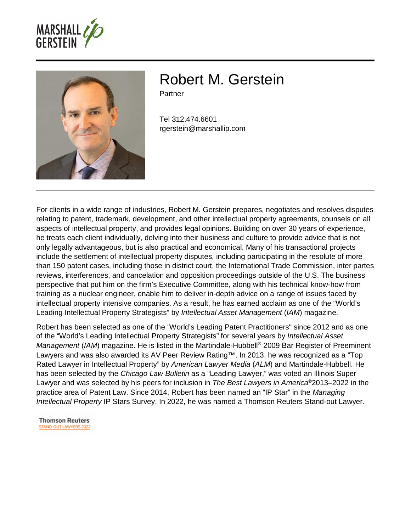



# Robert M. Gerstein

Partner

Tel 312.474.6601 rgerstein@marshallip.com

For clients in a wide range of industries, Robert M. Gerstein prepares, negotiates and resolves disputes relating to patent, trademark, development, and other intellectual property agreements, counsels on all aspects of intellectual property, and provides legal opinions. Building on over 30 years of experience, he treats each client individually, delving into their business and culture to provide advice that is not only legally advantageous, but is also practical and economical. Many of his transactional projects include the settlement of intellectual property disputes, including participating in the resolute of more than 150 patent cases, including those in district court, the International Trade Commission, inter partes reviews, interferences, and cancelation and opposition proceedings outside of the U.S. The business perspective that put him on the firm's Executive Committee, along with his technical know-how from training as a nuclear engineer, enable him to deliver in-depth advice on a range of issues faced by intellectual property intensive companies. As a result, he has earned acclaim as one of the "World's Leading Intellectual Property Strategists" by Intellectual Asset Management (IAM) magazine.

Robert has been selected as one of the "World's Leading Patent Practitioners" since 2012 and as one of the "World's Leading Intellectual Property Strategists" for several years by Intellectual Asset Management (IAM) magazine. He is listed in the Martindale-Hubbell® 2009 Bar Register of Preeminent Lawyers and was also awarded its AV Peer Review Rating™. In 2013, he was recognized as a "Top Rated Lawyer in Intellectual Property" by American Lawyer Media (ALM) and Martindale-Hubbell. He has been selected by the Chicago Law Bulletin as a "Leading Lawyer," was voted an Illinois Super Lawyer and was selected by his peers for inclusion in The Best Lawyers in America<sup>®</sup>2013–2022 in the practice area of Patent Law. Since 2014, Robert has been named an "IP Star" in the Managing Intellectual Property IP Stars Survey. In 2022, he was named a Thomson Reuters Stand-out Lawyer.

**Thomson Reuters STAND-OUT LAWYERS 2022**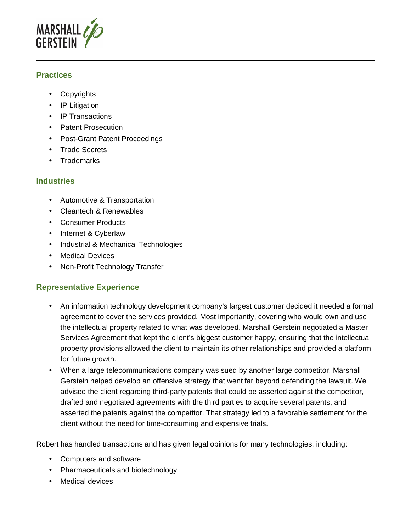

# **Practices**

- Copyrights
- IP Litigation
- IP Transactions
- Patent Prosecution
- Post-Grant Patent Proceedings
- Trade Secrets
- Trademarks

#### **Industries**

- Automotive & Transportation
- Cleantech & Renewables
- Consumer Products
- Internet & Cyberlaw
- Industrial & Mechanical Technologies
- Medical Devices
- Non-Profit Technology Transfer

# **Representative Experience**

- An information technology development company's largest customer decided it needed a formal agreement to cover the services provided. Most importantly, covering who would own and use the intellectual property related to what was developed. Marshall Gerstein negotiated a Master Services Agreement that kept the client's biggest customer happy, ensuring that the intellectual property provisions allowed the client to maintain its other relationships and provided a platform for future growth.
- When a large telecommunications company was sued by another large competitor, Marshall Gerstein helped develop an offensive strategy that went far beyond defending the lawsuit. We advised the client regarding third-party patents that could be asserted against the competitor, drafted and negotiated agreements with the third parties to acquire several patents, and asserted the patents against the competitor. That strategy led to a favorable settlement for the client without the need for time-consuming and expensive trials.

Robert has handled transactions and has given legal opinions for many technologies, including:

- Computers and software
- Pharmaceuticals and biotechnology
- Medical devices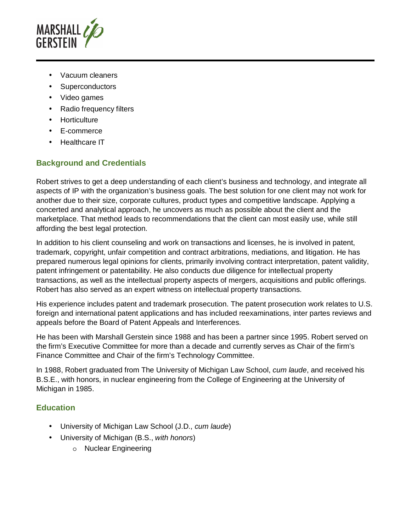

- Vacuum cleaners
- Superconductors
- Video games
- Radio frequency filters
- Horticulture
- E-commerce
- Healthcare IT

# **Background and Credentials**

Robert strives to get a deep understanding of each client's business and technology, and integrate all aspects of IP with the organization's business goals. The best solution for one client may not work for another due to their size, corporate cultures, product types and competitive landscape. Applying a concerted and analytical approach, he uncovers as much as possible about the client and the marketplace. That method leads to recommendations that the client can most easily use, while still affording the best legal protection.

In addition to his client counseling and work on transactions and licenses, he is involved in patent, trademark, copyright, unfair competition and contract arbitrations, mediations, and litigation. He has prepared numerous legal opinions for clients, primarily involving contract interpretation, patent validity, patent infringement or patentability. He also conducts due diligence for intellectual property transactions, as well as the intellectual property aspects of mergers, acquisitions and public offerings. Robert has also served as an expert witness on intellectual property transactions.

His experience includes patent and trademark prosecution. The patent prosecution work relates to U.S. foreign and international patent applications and has included reexaminations, inter partes reviews and appeals before the Board of Patent Appeals and Interferences.

He has been with Marshall Gerstein since 1988 and has been a partner since 1995. Robert served on the firm's Executive Committee for more than a decade and currently serves as Chair of the firm's Finance Committee and Chair of the firm's Technology Committee.

In 1988, Robert graduated from The University of Michigan Law School, cum laude, and received his B.S.E., with honors, in nuclear engineering from the College of Engineering at the University of Michigan in 1985.

# **Education**

- University of Michigan Law School (J.D., cum laude)
- University of Michigan (B.S., with honors)
	- o Nuclear Engineering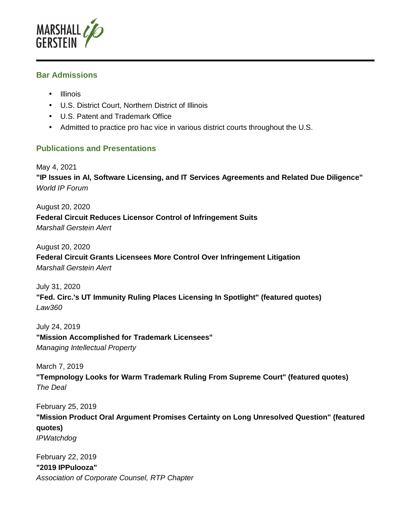

#### **Bar Admissions**

- Illinois
- U.S. District Court, Northern District of Illinois
- U.S. Patent and Trademark Office
- Admitted to practice pro hac vice in various district courts throughout the U.S.

# **Publications and Presentations**

May 4, 2021 **"IP Issues in AI, Software Licensing, and IT Services Agreements and Related Due Diligence"**  World IP Forum

August 20, 2020 **Federal Circuit Reduces Licensor Control of Infringement Suits**  Marshall Gerstein Alert

August 20, 2020 **Federal Circuit Grants Licensees More Control Over Infringement Litigation**  Marshall Gerstein Alert

July 31, 2020 **"Fed. Circ.'s UT Immunity Ruling Places Licensing In Spotlight" (featured quotes)**  Law360

July 24, 2019 **"Mission Accomplished for Trademark Licensees"**  Managing Intellectual Property

March 7, 2019

**"Tempnology Looks for Warm Trademark Ruling From Supreme Court" (featured quotes)**  The Deal

February 25, 2019 **"Mission Product Oral Argument Promises Certainty on Long Unresolved Question" (featured quotes)**  IPWatchdog

February 22, 2019 **"2019 IPPulooza"**  Association of Corporate Counsel, RTP Chapter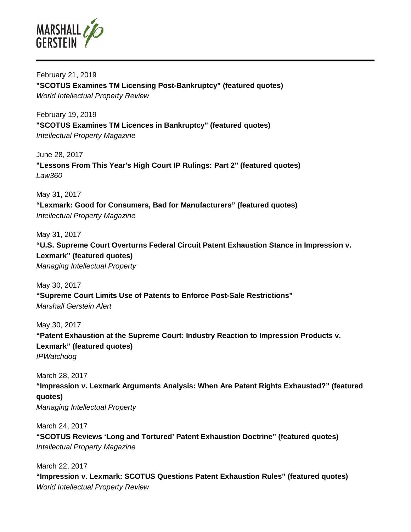

February 21, 2019 **"SCOTUS Examines TM Licensing Post-Bankruptcy" (featured quotes)**  World Intellectual Property Review

February 19, 2019 **"SCOTUS Examines TM Licences in Bankruptcy" (featured quotes)**  Intellectual Property Magazine

June 28, 2017 **"Lessons From This Year's High Court IP Rulings: Part 2" (featured quotes)**  Law360

May 31, 2017 **"Lexmark: Good for Consumers, Bad for Manufacturers" (featured quotes)**  Intellectual Property Magazine

May 31, 2017 **"U.S. Supreme Court Overturns Federal Circuit Patent Exhaustion Stance in Impression v. Lexmark" (featured quotes)**  Managing Intellectual Property

May 30, 2017 **"Supreme Court Limits Use of Patents to Enforce Post-Sale Restrictions"**  Marshall Gerstein Alert

May 30, 2017 **"Patent Exhaustion at the Supreme Court: Industry Reaction to Impression Products v. Lexmark" (featured quotes)**  IPWatchdog

March 28, 2017 **"Impression v. Lexmark Arguments Analysis: When Are Patent Rights Exhausted?" (featured quotes)**  Managing Intellectual Property

March 24, 2017 **"SCOTUS Reviews 'Long and Tortured' Patent Exhaustion Doctrine" (featured quotes)**  Intellectual Property Magazine

March 22, 2017 **"Impression v. Lexmark: SCOTUS Questions Patent Exhaustion Rules" (featured quotes)**  World Intellectual Property Review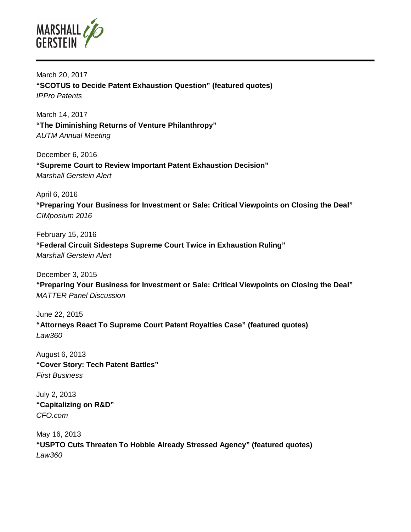

March 20, 2017 **"SCOTUS to Decide Patent Exhaustion Question" (featured quotes)**  IPPro Patents

March 14, 2017 **"The Diminishing Returns of Venture Philanthropy"**  AUTM Annual Meeting

December 6, 2016 **"Supreme Court to Review Important Patent Exhaustion Decision"**  Marshall Gerstein Alert

April 6, 2016 **"Preparing Your Business for Investment or Sale: Critical Viewpoints on Closing the Deal"**  CIMposium 2016

February 15, 2016 **"Federal Circuit Sidesteps Supreme Court Twice in Exhaustion Ruling"**  Marshall Gerstein Alert

December 3, 2015 **"Preparing Your Business for Investment or Sale: Critical Viewpoints on Closing the Deal"**  MATTER Panel Discussion

June 22, 2015 **"Attorneys React To Supreme Court Patent Royalties Case" (featured quotes)**  Law360

August 6, 2013 **"Cover Story: Tech Patent Battles"**  First Business

July 2, 2013 **"Capitalizing on R&D"**  CFO.com

May 16, 2013 **"USPTO Cuts Threaten To Hobble Already Stressed Agency" (featured quotes)**  Law360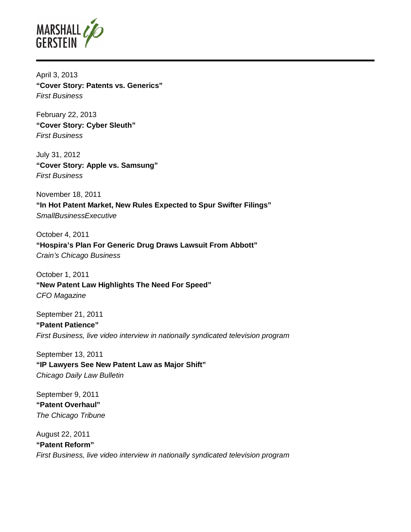

April 3, 2013 **"Cover Story: Patents vs. Generics"**  First Business

February 22, 2013 **"Cover Story: Cyber Sleuth"**  First Business

July 31, 2012 **"Cover Story: Apple vs. Samsung"**  First Business

November 18, 2011 **"In Hot Patent Market, New Rules Expected to Spur Swifter Filings" SmallBusinessExecutive** 

October 4, 2011 **"Hospira's Plan For Generic Drug Draws Lawsuit From Abbott"**  Crain's Chicago Business

October 1, 2011 **"New Patent Law Highlights The Need For Speed"**  CFO Magazine

September 21, 2011 **"Patent Patience"**  First Business, live video interview in nationally syndicated television program

September 13, 2011 **"IP Lawyers See New Patent Law as Major Shift"**  Chicago Daily Law Bulletin

September 9, 2011 **"Patent Overhaul"**  The Chicago Tribune

August 22, 2011 **"Patent Reform"**  First Business, live video interview in nationally syndicated television program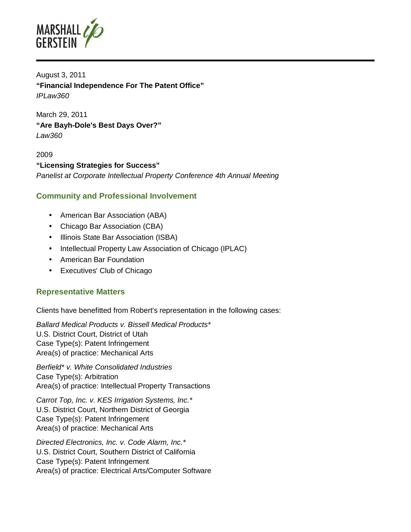

August 3, 2011 **"Financial Independence For The Patent Office"**  IPLaw360

March 29, 2011 **"Are Bayh-Dole's Best Days Over?"**  Law360

2009 **"Licensing Strategies for Success"**  Panelist at Corporate Intellectual Property Conference 4th Annual Meeting

#### **Community and Professional Involvement**

- American Bar Association (ABA)
- Chicago Bar Association (CBA)
- Illinois State Bar Association (ISBA)
- Intellectual Property Law Association of Chicago (IPLAC)
- American Bar Foundation
- Executives' Club of Chicago

#### **Representative Matters**

Clients have benefitted from Robert's representation in the following cases:

Ballard Medical Products v. Bissell Medical Products\* U.S. District Court, District of Utah Case Type(s): Patent Infringement Area(s) of practice: Mechanical Arts

Berfield\* v. White Consolidated Industries Case Type(s): Arbitration Area(s) of practice: Intellectual Property Transactions

Carrot Top, Inc. v. KES Irrigation Systems, Inc.\* U.S. District Court, Northern District of Georgia Case Type(s): Patent Infringement Area(s) of practice: Mechanical Arts

Directed Electronics, Inc. v. Code Alarm, Inc.\* U.S. District Court, Southern District of California Case Type(s): Patent Infringement Area(s) of practice: Electrical Arts/Computer Software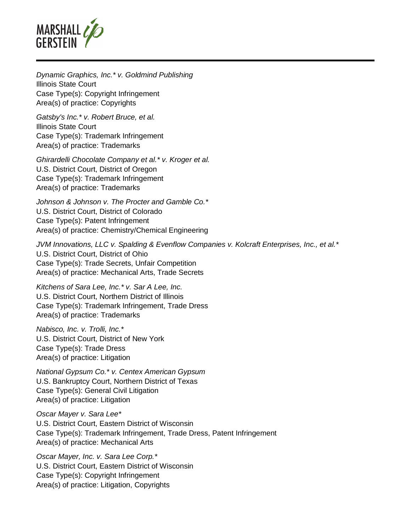

Dynamic Graphics, Inc.\* v. Goldmind Publishing Illinois State Court Case Type(s): Copyright Infringement Area(s) of practice: Copyrights

Gatsby's Inc.\* v. Robert Bruce, et al. Illinois State Court Case Type(s): Trademark Infringement Area(s) of practice: Trademarks

Ghirardelli Chocolate Company et al.\* v. Kroger et al. U.S. District Court, District of Oregon Case Type(s): Trademark Infringement Area(s) of practice: Trademarks

Johnson & Johnson v. The Procter and Gamble Co.\* U.S. District Court, District of Colorado Case Type(s): Patent Infringement Area(s) of practice: Chemistry/Chemical Engineering

JVM Innovations, LLC v. Spalding & Evenflow Companies v. Kolcraft Enterprises, Inc., et al.\* U.S. District Court, District of Ohio Case Type(s): Trade Secrets, Unfair Competition Area(s) of practice: Mechanical Arts, Trade Secrets

Kitchens of Sara Lee, Inc.\* v. Sar A Lee, Inc. U.S. District Court, Northern District of Illinois Case Type(s): Trademark Infringement, Trade Dress Area(s) of practice: Trademarks

Nabisco, Inc. v. Trolli, Inc.\* U.S. District Court, District of New York Case Type(s): Trade Dress Area(s) of practice: Litigation

National Gypsum Co.\* v. Centex American Gypsum U.S. Bankruptcy Court, Northern District of Texas Case Type(s): General Civil Litigation Area(s) of practice: Litigation

Oscar Mayer v. Sara Lee\* U.S. District Court, Eastern District of Wisconsin Case Type(s): Trademark Infringement, Trade Dress, Patent Infringement Area(s) of practice: Mechanical Arts

Oscar Mayer, Inc. v. Sara Lee Corp.\* U.S. District Court, Eastern District of Wisconsin Case Type(s): Copyright Infringement Area(s) of practice: Litigation, Copyrights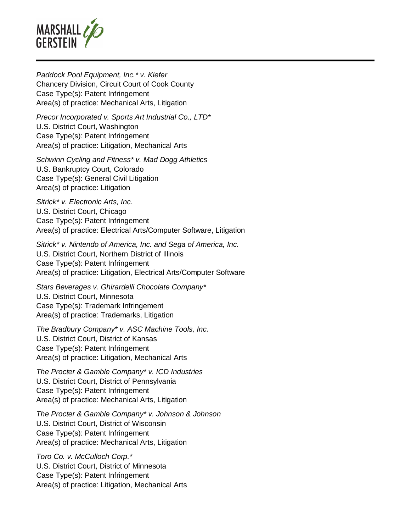

Paddock Pool Equipment, Inc.\* v. Kiefer Chancery Division, Circuit Court of Cook County Case Type(s): Patent Infringement Area(s) of practice: Mechanical Arts, Litigation

Precor Incorporated v. Sports Art Industrial Co., LTD\* U.S. District Court, Washington Case Type(s): Patent Infringement Area(s) of practice: Litigation, Mechanical Arts

Schwinn Cycling and Fitness\* v. Mad Dogg Athletics U.S. Bankruptcy Court, Colorado Case Type(s): General Civil Litigation Area(s) of practice: Litigation

Sitrick<sup>\*</sup> v. Electronic Arts, Inc. U.S. District Court, Chicago Case Type(s): Patent Infringement Area(s) of practice: Electrical Arts/Computer Software, Litigation

Sitrick\* v. Nintendo of America, Inc. and Sega of America, Inc. U.S. District Court, Northern District of Illinois Case Type(s): Patent Infringement Area(s) of practice: Litigation, Electrical Arts/Computer Software

Stars Beverages v. Ghirardelli Chocolate Company\* U.S. District Court, Minnesota Case Type(s): Trademark Infringement Area(s) of practice: Trademarks, Litigation

The Bradbury Company\* v. ASC Machine Tools, Inc. U.S. District Court, District of Kansas Case Type(s): Patent Infringement Area(s) of practice: Litigation, Mechanical Arts

The Procter & Gamble Company\* v. ICD Industries U.S. District Court, District of Pennsylvania Case Type(s): Patent Infringement Area(s) of practice: Mechanical Arts, Litigation

The Procter & Gamble Company\* v. Johnson & Johnson U.S. District Court, District of Wisconsin Case Type(s): Patent Infringement Area(s) of practice: Mechanical Arts, Litigation

Toro Co. v. McCulloch Corp.\* U.S. District Court, District of Minnesota Case Type(s): Patent Infringement Area(s) of practice: Litigation, Mechanical Arts